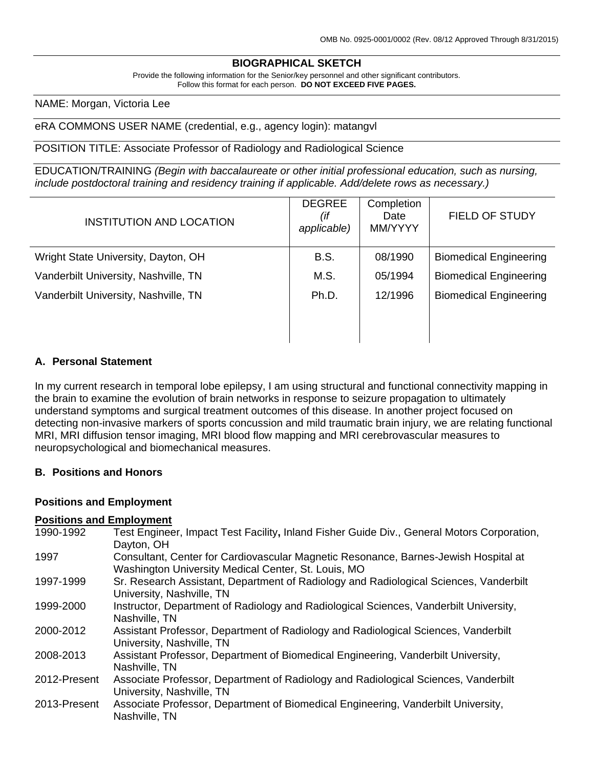## **BIOGRAPHICAL SKETCH**

Provide the following information for the Senior/key personnel and other significant contributors. Follow this format for each person. **DO NOT EXCEED FIVE PAGES.**

## NAME: Morgan, Victoria Lee

#### eRA COMMONS USER NAME (credential, e.g., agency login): matangvl

#### POSITION TITLE: Associate Professor of Radiology and Radiological Science

EDUCATION/TRAINING *(Begin with baccalaureate or other initial professional education, such as nursing, include postdoctoral training and residency training if applicable. Add/delete rows as necessary.)*

| <b>INSTITUTION AND LOCATION</b>      | <b>DEGREE</b><br>(if<br>applicable) | Completion<br>Date<br>MM/YYYY | <b>FIELD OF STUDY</b>         |
|--------------------------------------|-------------------------------------|-------------------------------|-------------------------------|
| Wright State University, Dayton, OH  | <b>B.S.</b>                         | 08/1990                       | <b>Biomedical Engineering</b> |
| Vanderbilt University, Nashville, TN | M.S.                                | 05/1994                       | <b>Biomedical Engineering</b> |
| Vanderbilt University, Nashville, TN | Ph.D.                               | 12/1996                       | <b>Biomedical Engineering</b> |
|                                      |                                     |                               |                               |
|                                      |                                     |                               |                               |

## **A. Personal Statement**

In my current research in temporal lobe epilepsy, I am using structural and functional connectivity mapping in the brain to examine the evolution of brain networks in response to seizure propagation to ultimately understand symptoms and surgical treatment outcomes of this disease. In another project focused on detecting non-invasive markers of sports concussion and mild traumatic brain injury, we are relating functional MRI, MRI diffusion tensor imaging, MRI blood flow mapping and MRI cerebrovascular measures to neuropsychological and biomechanical measures.

## **B. Positions and Honors**

#### **Positions and Employment**

#### **Positions and Employment**

| 1990-1992    | Test Engineer, Impact Test Facility, Inland Fisher Guide Div., General Motors Corporation,<br>Dayton, OH                                   |
|--------------|--------------------------------------------------------------------------------------------------------------------------------------------|
| 1997         | Consultant, Center for Cardiovascular Magnetic Resonance, Barnes-Jewish Hospital at<br>Washington University Medical Center, St. Louis, MO |
| 1997-1999    | Sr. Research Assistant, Department of Radiology and Radiological Sciences, Vanderbilt<br>University, Nashville, TN                         |
| 1999-2000    | Instructor, Department of Radiology and Radiological Sciences, Vanderbilt University,<br>Nashville, TN                                     |
| 2000-2012    | Assistant Professor, Department of Radiology and Radiological Sciences, Vanderbilt<br>University, Nashville, TN                            |
| 2008-2013    | Assistant Professor, Department of Biomedical Engineering, Vanderbilt University,<br>Nashville, TN                                         |
| 2012-Present | Associate Professor, Department of Radiology and Radiological Sciences, Vanderbilt<br>University, Nashville, TN                            |
| 2013-Present | Associate Professor, Department of Biomedical Engineering, Vanderbilt University,<br>Nashville, TN                                         |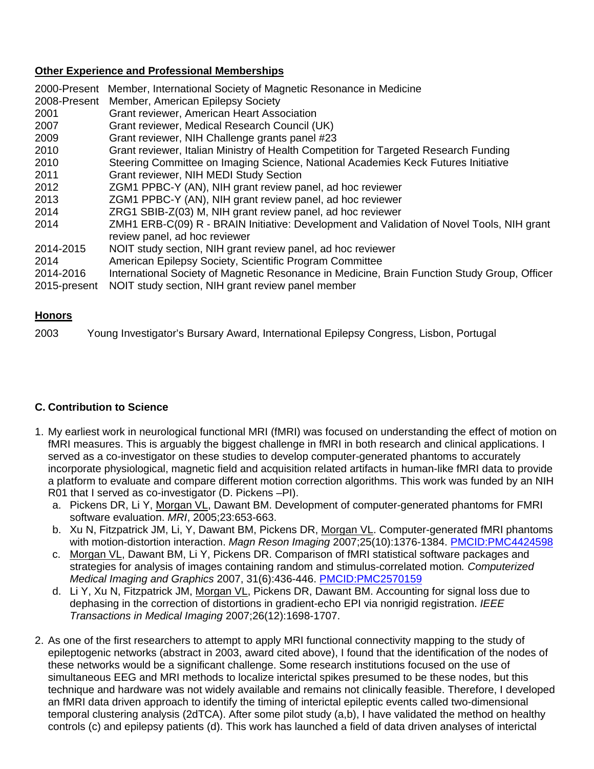## **Other Experience and Professional Memberships**

| Member, International Society of Magnetic Resonance in Medicine<br>Member, American Epilepsy Society                                                                                                         |
|--------------------------------------------------------------------------------------------------------------------------------------------------------------------------------------------------------------|
| Grant reviewer, American Heart Association                                                                                                                                                                   |
| Grant reviewer, Medical Research Council (UK)                                                                                                                                                                |
| Grant reviewer, NIH Challenge grants panel #23                                                                                                                                                               |
| Grant reviewer, Italian Ministry of Health Competition for Targeted Research Funding                                                                                                                         |
| Steering Committee on Imaging Science, National Academies Keck Futures Initiative                                                                                                                            |
| <b>Grant reviewer, NIH MEDI Study Section</b>                                                                                                                                                                |
| ZGM1 PPBC-Y (AN), NIH grant review panel, ad hoc reviewer                                                                                                                                                    |
| ZGM1 PPBC-Y (AN), NIH grant review panel, ad hoc reviewer                                                                                                                                                    |
| ZRG1 SBIB-Z(03) M, NIH grant review panel, ad hoc reviewer                                                                                                                                                   |
| ZMH1 ERB-C(09) R - BRAIN Initiative: Development and Validation of Novel Tools, NIH grant<br>review panel, ad hoc reviewer                                                                                   |
| NOIT study section, NIH grant review panel, ad hoc reviewer                                                                                                                                                  |
| American Epilepsy Society, Scientific Program Committee<br>International Society of Magnetic Resonance in Medicine, Brain Function Study Group, Officer<br>NOIT study section, NIH grant review panel member |
|                                                                                                                                                                                                              |

## **Honors**

2003 Young Investigator's Bursary Award, International Epilepsy Congress, Lisbon, Portugal

## **C. Contribution to Science**

- 1. My earliest work in neurological functional MRI (fMRI) was focused on understanding the effect of motion on fMRI measures. This is arguably the biggest challenge in fMRI in both research and clinical applications. I served as a co-investigator on these studies to develop computer-generated phantoms to accurately incorporate physiological, magnetic field and acquisition related artifacts in human-like fMRI data to provide a platform to evaluate and compare different motion correction algorithms. This work was funded by an NIH R01 that I served as co-investigator (D. Pickens –PI).
	- a. Pickens DR, Li Y, Morgan VL, Dawant BM. Development of computer-generated phantoms for FMRI software evaluation. *MRI*, 2005;23:653-663.
	- b. Xu N, Fitzpatrick JM, Li, Y, Dawant BM, Pickens DR, Morgan VL. Computer-generated fMRI phantoms with motion-distortion interaction. *Magn Reson Imaging* 2007;25(10):1376-1384. [PMCID:PMC4424598](http://www.ncbi.nlm.nih.gov/pmc/articles/PMC4424598/)
	- c. Morgan VL, Dawant BM, Li Y, Pickens DR. Comparison of fMRI statistical software packages and strategies for analysis of images containing random and stimulus-correlated motion*. Computerized Medical Imaging and Graphics* 2007, 31(6):436-446. [PMCID:PMC2570159](http://www.ncbi.nlm.nih.gov/pubmed/17574816)
	- d. Li Y, Xu N, Fitzpatrick JM, Morgan VL, Pickens DR, Dawant BM. Accounting for signal loss due to dephasing in the correction of distortions in gradient-echo EPI via nonrigid registration. *IEEE Transactions in Medical Imaging* 2007;26(12):1698-1707.
- 2. As one of the first researchers to attempt to apply MRI functional connectivity mapping to the study of epileptogenic networks (abstract in 2003, award cited above), I found that the identification of the nodes of these networks would be a significant challenge. Some research institutions focused on the use of simultaneous EEG and MRI methods to localize interictal spikes presumed to be these nodes, but this technique and hardware was not widely available and remains not clinically feasible. Therefore, I developed an fMRI data driven approach to identify the timing of interictal epileptic events called two-dimensional temporal clustering analysis (2dTCA). After some pilot study (a,b), I have validated the method on healthy controls (c) and epilepsy patients (d). This work has launched a field of data driven analyses of interictal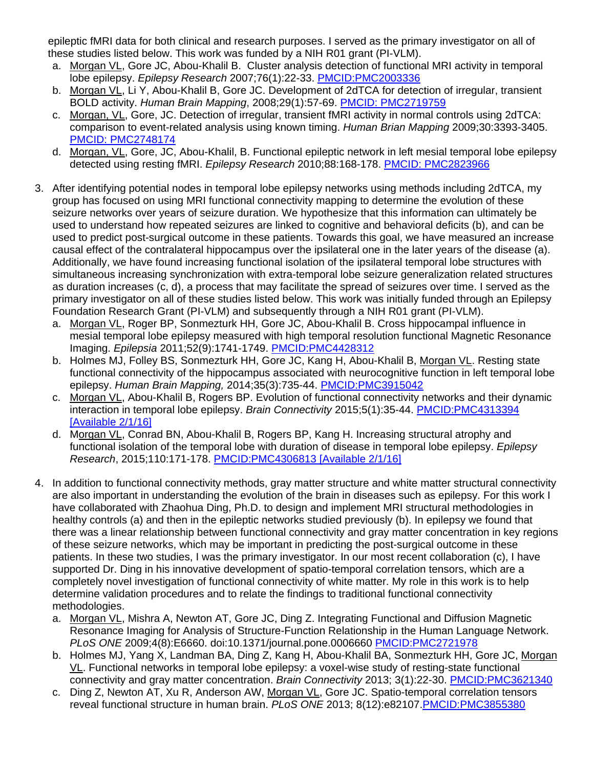epileptic fMRI data for both clinical and research purposes. I served as the primary investigator on all of these studies listed below. This work was funded by a NIH R01 grant (PI-VLM).

- a. Morgan VL, Gore JC, Abou-Khalil B. Cluster analysis detection of functional MRI activity in temporal lobe epilepsy. *Epilepsy Research* 2007;76(1):22-33. [PMCID:PMC2003336](http://www.ncbi.nlm.nih.gov/pmc/articles/PMC2003336/?tool=pubmed)
- b. Morgan VL, Li Y, Abou-Khalil B, Gore JC. Development of 2dTCA for detection of irregular, transient BOLD activity. *Human Brain Mapping*, 2008;29(1):57-69. [PMCID: PMC2719759](http://www.pubmedcentral.nih.gov/picrender.fcgi?artid=2719759&blobtype=pdf&tool=pmcentrez)
- c. Morgan, VL, Gore, JC. Detection of irregular, transient fMRI activity in normal controls using 2dTCA: comparison to event-related analysis using known timing. *Human Brian Mapping* 2009;30:3393-3405. [PMCID: PMC2748174](http://www.ncbi.nlm.nih.gov/pubmed/19294642?itool=EntrezSystem2.PEntrez.Pubmed.Pubmed_ResultsPanel.Pubmed_RVDocSum&ordinalpos=3)
- d. Morgan, VL, Gore, JC, Abou-Khalil, B. Functional epileptic network in left mesial temporal lobe epilepsy detected using resting fMRI. *Epilepsy Research* 2010;88:168-178. [PMCID: PMC2823966](http://www.ncbi.nlm.nih.gov/pubmed/19945255)
- 3. After identifying potential nodes in temporal lobe epilepsy networks using methods including 2dTCA, my group has focused on using MRI functional connectivity mapping to determine the evolution of these seizure networks over years of seizure duration. We hypothesize that this information can ultimately be used to understand how repeated seizures are linked to cognitive and behavioral deficits (b), and can be used to predict post-surgical outcome in these patients. Towards this goal, we have measured an increase causal effect of the contralateral hippocampus over the ipsilateral one in the later years of the disease (a). Additionally, we have found increasing functional isolation of the ipsilateral temporal lobe structures with simultaneous increasing synchronization with extra-temporal lobe seizure generalization related structures as duration increases (c, d), a process that may facilitate the spread of seizures over time. I served as the primary investigator on all of these studies listed below. This work was initially funded through an Epilepsy Foundation Research Grant (PI-VLM) and subsequently through a NIH R01 grant (PI-VLM).
	- a. Morgan VL, Roger BP, Sonmezturk HH, Gore JC, Abou-Khalil B. Cross hippocampal influence in mesial temporal lobe epilepsy measured with high temporal resolution functional Magnetic Resonance Imaging. *Epilepsia* 2011;52(9):1741-1749. [PMCID:PMC4428312](http://www.ncbi.nlm.nih.gov/pmc/articles/PMC4428312/)
	- b. Holmes MJ, Folley BS, Sonmezturk HH, Gore JC, Kang H, Abou-Khalil B, Morgan VL. Resting state functional connectivity of the hippocampus associated with neurocognitive function in left temporal lobe epilepsy. *Human Brain Mapping,* 2014;35(3):735-44. [PMCID:PMC3915042](http://www.ncbi.nlm.nih.gov/pmc/articles/PMC3915042/)
	- c. Morgan VL, Abou-Khalil B, Rogers BP. Evolution of functional connectivity networks and their dynamic interaction in temporal lobe epilepsy. *Brain Connectivity* 2015;5(1):35-44. [PMCID:PMC4313394](http://www.ncbi.nlm.nih.gov/pubmed/24901036)  [\[Available 2/1/16\]](http://www.ncbi.nlm.nih.gov/pubmed/24901036)
	- d. Morgan VL, Conrad BN, Abou-Khalil B, Rogers BP, Kang H. Increasing structural atrophy and functional isolation of the temporal lobe with duration of disease in temporal lobe epilepsy. *Epilepsy Research*, 2015;110:171-178. [PMCID:PMC4306813 \[Available 2/1/16\]](http://www.ncbi.nlm.nih.gov/pubmed/25616470)
- 4. In addition to functional connectivity methods, gray matter structure and white matter structural connectivity are also important in understanding the evolution of the brain in diseases such as epilepsy. For this work I have collaborated with Zhaohua Ding, Ph.D. to design and implement MRI structural methodologies in healthy controls (a) and then in the epileptic networks studied previously (b). In epilepsy we found that there was a linear relationship between functional connectivity and gray matter concentration in key regions of these seizure networks, which may be important in predicting the post-surgical outcome in these patients. In these two studies, I was the primary investigator. In our most recent collaboration (c), I have supported Dr. Ding in his innovative development of spatio-temporal correlation tensors, which are a completely novel investigation of functional connectivity of white matter. My role in this work is to help determine validation procedures and to relate the findings to traditional functional connectivity methodologies.
	- a. Morgan VL, Mishra A, Newton AT, Gore JC, Ding Z. Integrating Functional and Diffusion Magnetic Resonance Imaging for Analysis of Structure-Function Relationship in the Human Language Network. *PLoS ONE* 2009;4(8):E6660. doi:10.1371/journal.pone.0006660 [PMCID:PMC2721978](http://www.ncbi.nlm.nih.gov/pmc/articles/PMC2721978/?tool=pubmed)
	- b. Holmes MJ, Yang X, Landman BA, Ding Z, Kang H, Abou-Khalil BA, Sonmezturk HH, Gore JC, Morgan VL. Functional networks in temporal lobe epilepsy: a voxel-wise study of resting-state functional connectivity and gray matter concentration. *Brain Connectivity* 2013; 3(1):22-30. [PMCID:PMC3621340](http://www.ncbi.nlm.nih.gov/pmc/articles/PMC3621340/)
	- c. Ding Z, Newton AT, Xu R, Anderson AW, Morgan VL, Gore JC. Spatio-temporal correlation tensors reveal functional structure in human brain. *PLoS ONE* 2013; 8(12):e82107[.PMCID:PMC3855380](http://www.ncbi.nlm.nih.gov/pubmed/24339997)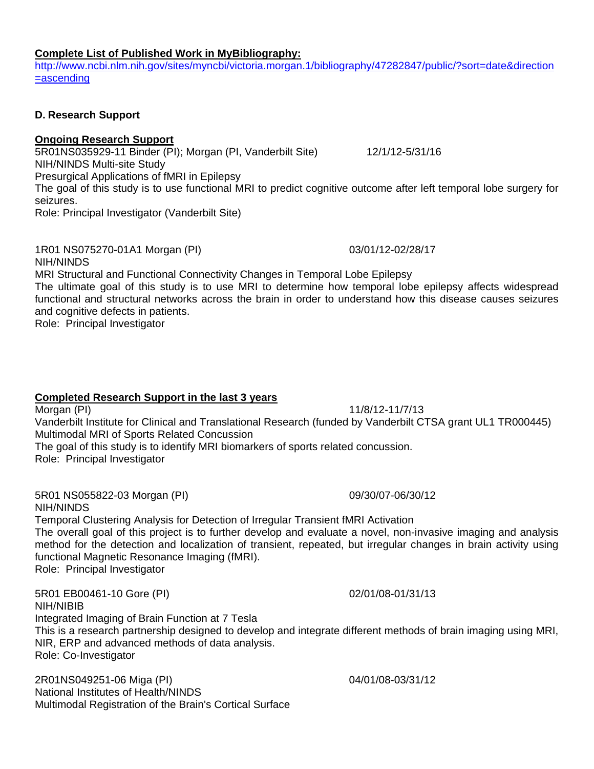#### **Complete List of Published Work in MyBibliography:**

[http://www.ncbi.nlm.nih.gov/sites/myncbi/victoria.morgan.1/bibliography/47282847/public/?sort=date&direction](http://www.ncbi.nlm.nih.gov/sites/myncbi/victoria.morgan.1/bibliography/47282847/public/?sort=date&direction=ascending) [=ascending](http://www.ncbi.nlm.nih.gov/sites/myncbi/victoria.morgan.1/bibliography/47282847/public/?sort=date&direction=ascending)

## **D. Research Support**

## **Ongoing Research Support**

5R01NS035929-11 Binder (PI); Morgan (PI, Vanderbilt Site) 12/1/12-5/31/16 NIH/NINDS Multi-site Study Presurgical Applications of fMRI in Epilepsy The goal of this study is to use functional MRI to predict cognitive outcome after left temporal lobe surgery for seizures.

Role: Principal Investigator (Vanderbilt Site)

1R01 NS075270-01A1 Morgan (PI) 03/01/12-02/28/17 NIH/NINDS

MRI Structural and Functional Connectivity Changes in Temporal Lobe Epilepsy

The ultimate goal of this study is to use MRI to determine how temporal lobe epilepsy affects widespread functional and structural networks across the brain in order to understand how this disease causes seizures and cognitive defects in patients.

Role: Principal Investigator

# **Completed Research Support in the last 3 years**

Morgan (PI) 11/8/12-11/7/13 Vanderbilt Institute for Clinical and Translational Research (funded by Vanderbilt CTSA grant UL1 TR000445) Multimodal MRI of Sports Related Concussion The goal of this study is to identify MRI biomarkers of sports related concussion. Role: Principal Investigator

5R01 NS055822-03 Morgan (PI) 09/30/07-06/30/12 NIH/NINDS Temporal Clustering Analysis for Detection of Irregular Transient fMRI Activation

The overall goal of this project is to further develop and evaluate a novel, non-invasive imaging and analysis method for the detection and localization of transient, repeated, but irregular changes in brain activity using functional Magnetic Resonance Imaging (fMRI).

Role: Principal Investigator

5R01 EB00461-10 Gore (PI) 02/01/08-01/31/13 NIH/NIBIB Integrated Imaging of Brain Function at 7 Tesla This is a research partnership designed to develop and integrate different methods of brain imaging using MRI, NIR, ERP and advanced methods of data analysis. Role: Co-Investigator

2R01NS049251-06 Miga (PI) 04/01/08-03/31/12 National Institutes of Health/NINDS Multimodal Registration of the Brain's Cortical Surface